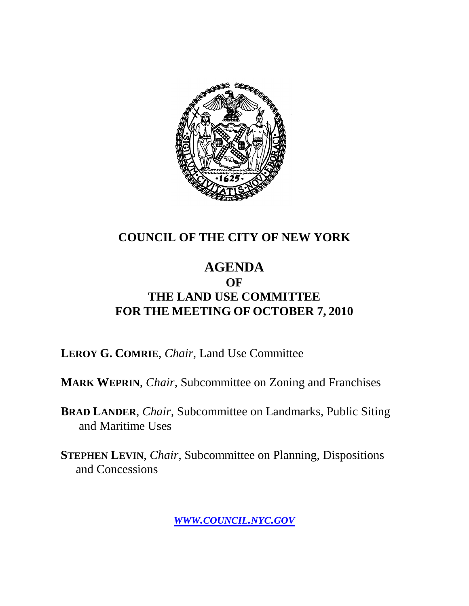

### **COUNCIL OF THE CITY OF NEW YORK**

### **AGENDA OF THE LAND USE COMMITTEE FOR THE MEETING OF OCTOBER 7, 2010**

**LEROY G. COMRIE**, *Chair*, Land Use Committee

**MARK WEPRIN**, *Chair*, Subcommittee on Zoning and Franchises

**BRAD LANDER**, *Chair*, Subcommittee on Landmarks, Public Siting and Maritime Uses

**STEPHEN LEVIN**, *Chair,* Subcommittee on Planning, Dispositions and Concessions

*WWW.COUNCIL.NYC.GOV*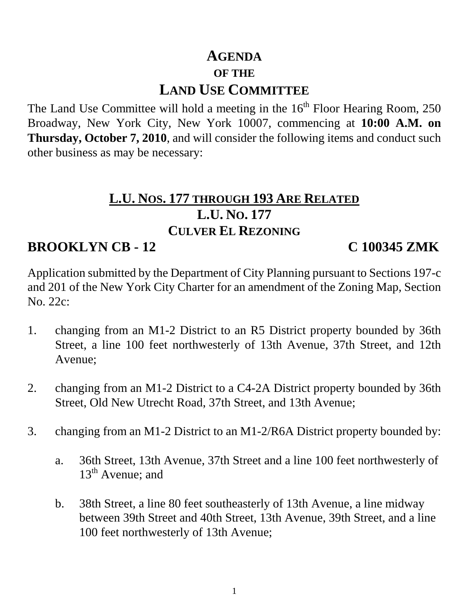## **AGENDA OF THE LAND USE COMMITTEE**

The Land Use Committee will hold a meeting in the  $16<sup>th</sup>$  Floor Hearing Room, 250 Broadway, New York City, New York 10007, commencing at **10:00 A.M. on Thursday, October 7, 2010**, and will consider the following items and conduct such other business as may be necessary:

## **L.U. NOS. 177 THROUGH 193 ARE RELATED L.U. NO. 177 CULVER EL REZONING**

### **BROOKLYN CB - 12 C 100345 ZMK**

Application submitted by the Department of City Planning pursuant to Sections 197-c and 201 of the New York City Charter for an amendment of the Zoning Map, Section No. 22c:

- 1. changing from an M1-2 District to an R5 District property bounded by 36th Street, a line 100 feet northwesterly of 13th Avenue, 37th Street, and 12th Avenue;
- 2. changing from an M1-2 District to a C4-2A District property bounded by 36th Street, Old New Utrecht Road, 37th Street, and 13th Avenue;
- 3. changing from an M1-2 District to an M1-2/R6A District property bounded by:
	- a. 36th Street, 13th Avenue, 37th Street and a line 100 feet northwesterly of 13<sup>th</sup> Avenue; and
	- b. 38th Street, a line 80 feet southeasterly of 13th Avenue, a line midway between 39th Street and 40th Street, 13th Avenue, 39th Street, and a line 100 feet northwesterly of 13th Avenue;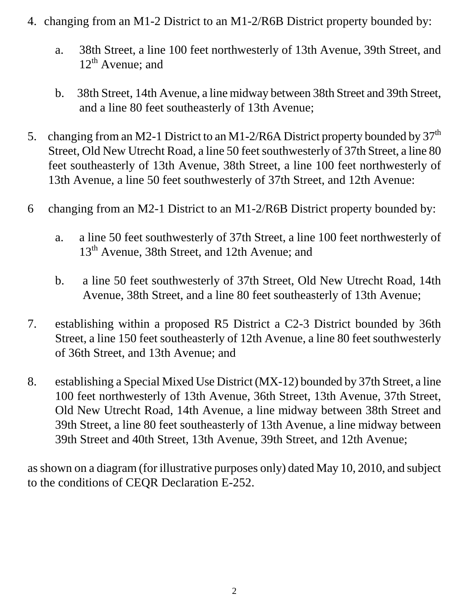- 4. changing from an M1-2 District to an M1-2/R6B District property bounded by:
	- a. 38th Street, a line 100 feet northwesterly of 13th Avenue, 39th Street, and  $12^{th}$  Avenue; and
	- b. 38th Street, 14th Avenue, a line midway between 38th Street and 39th Street, and a line 80 feet southeasterly of 13th Avenue;
- 5. changing from an M2-1 District to an M1-2/R6A District property bounded by  $37<sup>th</sup>$ Street, Old New Utrecht Road, a line 50 feet southwesterly of 37th Street, a line 80 feet southeasterly of 13th Avenue, 38th Street, a line 100 feet northwesterly of 13th Avenue, a line 50 feet southwesterly of 37th Street, and 12th Avenue:
- 6 changing from an M2-1 District to an M1-2/R6B District property bounded by:
	- a. a line 50 feet southwesterly of 37th Street, a line 100 feet northwesterly of 13<sup>th</sup> Avenue, 38th Street, and 12th Avenue; and
	- b. a line 50 feet southwesterly of 37th Street, Old New Utrecht Road, 14th Avenue, 38th Street, and a line 80 feet southeasterly of 13th Avenue;
- 7. establishing within a proposed R5 District a C2-3 District bounded by 36th Street, a line 150 feet southeasterly of 12th Avenue, a line 80 feet southwesterly of 36th Street, and 13th Avenue; and
- 8. establishing a Special Mixed Use District (MX-12) bounded by 37th Street, a line 100 feet northwesterly of 13th Avenue, 36th Street, 13th Avenue, 37th Street, Old New Utrecht Road, 14th Avenue, a line midway between 38th Street and 39th Street, a line 80 feet southeasterly of 13th Avenue, a line midway between 39th Street and 40th Street, 13th Avenue, 39th Street, and 12th Avenue;

as shown on a diagram (for illustrative purposes only) dated May 10, 2010, and subject to the conditions of CEQR Declaration E-252.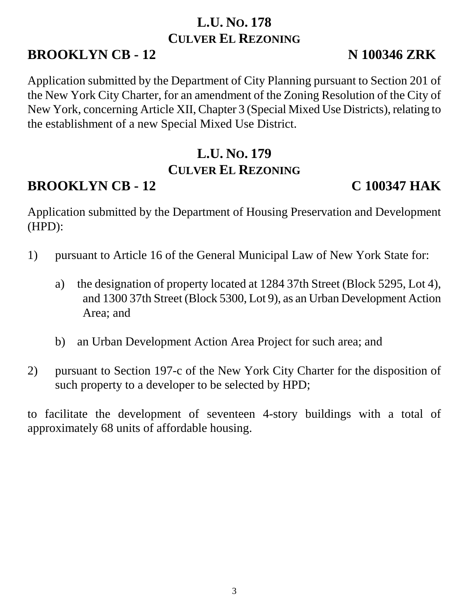### **L.U. NO. 178 CULVER EL REZONING**

## **BROOKLYN CB - 12 N 100346 ZRK**

Application submitted by the Department of City Planning pursuant to Section 201 of the New York City Charter, for an amendment of the Zoning Resolution of the City of New York, concerning Article XII, Chapter 3 (Special Mixed Use Districts), relating to the establishment of a new Special Mixed Use District.

## **L.U. NO. 179 CULVER EL REZONING**

## **BROOKLYN CB - 12 C 100347 HAK**

Application submitted by the Department of Housing Preservation and Development (HPD):

- 1) pursuant to Article 16 of the General Municipal Law of New York State for:
	- a) the designation of property located at 1284 37th Street (Block 5295, Lot 4), and 1300 37th Street (Block 5300, Lot 9), as an Urban Development Action Area; and
	- b) an Urban Development Action Area Project for such area; and
- 2) pursuant to Section 197-c of the New York City Charter for the disposition of such property to a developer to be selected by HPD;

to facilitate the development of seventeen 4-story buildings with a total of approximately 68 units of affordable housing.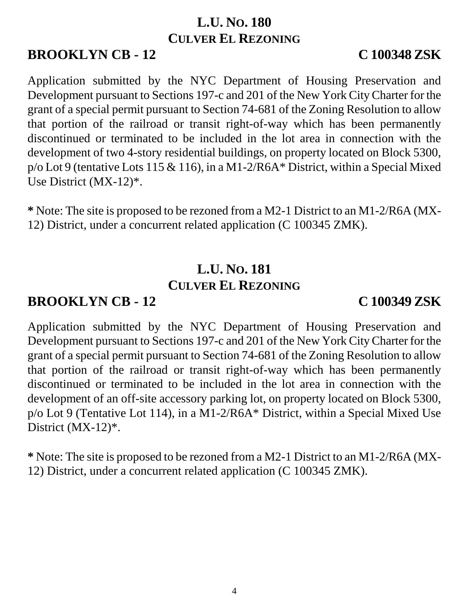### **L.U. NO. 180 CULVER EL REZONING**

## **BROOKLYN CB - 12 C 100348 ZSK**

Application submitted by the NYC Department of Housing Preservation and Development pursuant to Sections 197-c and 201 of the New York City Charter for the grant of a special permit pursuant to Section 74-681 of the Zoning Resolution to allow that portion of the railroad or transit right-of-way which has been permanently discontinued or terminated to be included in the lot area in connection with the development of two 4-story residential buildings, on property located on Block 5300, p/o Lot 9 (tentative Lots 115 & 116), in a M1-2/R6A\* District, within a Special Mixed Use District (MX-12)\*.

**\*** Note: The site is proposed to be rezoned from a M2-1 District to an M1-2/R6A (MX-12) District, under a concurrent related application (C 100345 ZMK).

## **L.U. NO. 181 CULVER EL REZONING**

## **BROOKLYN CB - 12 C 100349 ZSK**

Application submitted by the NYC Department of Housing Preservation and Development pursuant to Sections 197-c and 201 of the New York City Charter for the grant of a special permit pursuant to Section 74-681 of the Zoning Resolution to allow that portion of the railroad or transit right-of-way which has been permanently discontinued or terminated to be included in the lot area in connection with the development of an off-site accessory parking lot, on property located on Block 5300, p/o Lot 9 (Tentative Lot 114), in a M1-2/R6A\* District, within a Special Mixed Use District (MX-12)\*.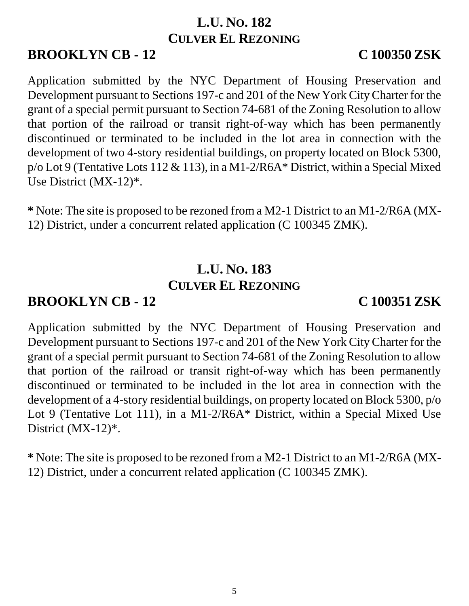### **L.U. NO. 182 CULVER EL REZONING**

## **BROOKLYN CB - 12 C 100350 ZSK**

Application submitted by the NYC Department of Housing Preservation and Development pursuant to Sections 197-c and 201 of the New York City Charter for the grant of a special permit pursuant to Section 74-681 of the Zoning Resolution to allow that portion of the railroad or transit right-of-way which has been permanently discontinued or terminated to be included in the lot area in connection with the development of two 4-story residential buildings, on property located on Block 5300, p/o Lot 9 (Tentative Lots 112 & 113), in a M1-2/R6A\* District, within a Special Mixed Use District (MX-12)\*.

**\*** Note: The site is proposed to be rezoned from a M2-1 District to an M1-2/R6A (MX-12) District, under a concurrent related application (C 100345 ZMK).

## **L.U. NO. 183 CULVER EL REZONING**

## **BROOKLYN CB - 12 C 100351 ZSK**

Application submitted by the NYC Department of Housing Preservation and Development pursuant to Sections 197-c and 201 of the New York City Charter for the grant of a special permit pursuant to Section 74-681 of the Zoning Resolution to allow that portion of the railroad or transit right-of-way which has been permanently discontinued or terminated to be included in the lot area in connection with the development of a 4-story residential buildings, on property located on Block 5300, p/o Lot 9 (Tentative Lot 111), in a M1-2/R6A\* District, within a Special Mixed Use District (MX-12)<sup>\*</sup>.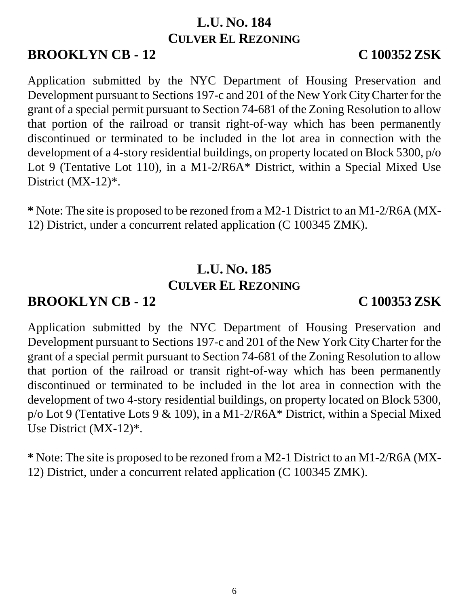### **L.U. NO. 184 CULVER EL REZONING**

## **BROOKLYN CB - 12 C 100352 ZSK**

Application submitted by the NYC Department of Housing Preservation and Development pursuant to Sections 197-c and 201 of the New York City Charter for the grant of a special permit pursuant to Section 74-681 of the Zoning Resolution to allow that portion of the railroad or transit right-of-way which has been permanently discontinued or terminated to be included in the lot area in connection with the development of a 4-story residential buildings, on property located on Block 5300, p/o Lot 9 (Tentative Lot 110), in a M1-2/R6A\* District, within a Special Mixed Use District (MX-12)\*.

**\*** Note: The site is proposed to be rezoned from a M2-1 District to an M1-2/R6A (MX-12) District, under a concurrent related application (C 100345 ZMK).

## **L.U. NO. 185 CULVER EL REZONING**

## **BROOKLYN CB - 12 C 100353 ZSK**

Application submitted by the NYC Department of Housing Preservation and Development pursuant to Sections 197-c and 201 of the New York City Charter for the grant of a special permit pursuant to Section 74-681 of the Zoning Resolution to allow that portion of the railroad or transit right-of-way which has been permanently discontinued or terminated to be included in the lot area in connection with the development of two 4-story residential buildings, on property located on Block 5300, p/o Lot 9 (Tentative Lots 9 & 109), in a M1-2/R6A\* District, within a Special Mixed Use District (MX-12)\*.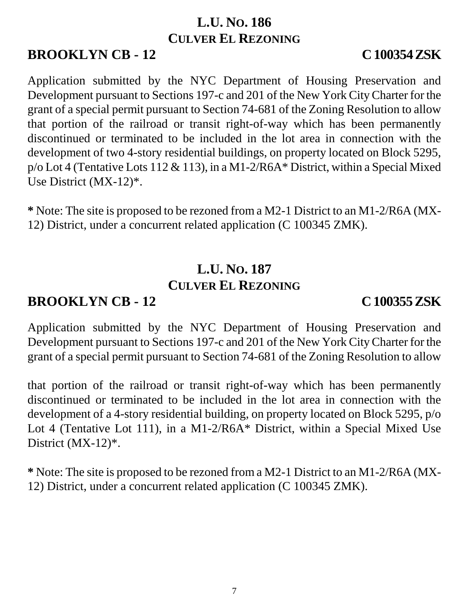### **L.U. NO. 186 CULVER EL REZONING**

## **BROOKLYN CB - 12 C 100354 ZSK**

Application submitted by the NYC Department of Housing Preservation and Development pursuant to Sections 197-c and 201 of the New York City Charter for the grant of a special permit pursuant to Section 74-681 of the Zoning Resolution to allow that portion of the railroad or transit right-of-way which has been permanently discontinued or terminated to be included in the lot area in connection with the development of two 4-story residential buildings, on property located on Block 5295, p/o Lot 4 (Tentative Lots 112 & 113), in a M1-2/R6A\* District, within a Special Mixed Use District (MX-12)\*.

**\*** Note: The site is proposed to be rezoned from a M2-1 District to an M1-2/R6A (MX-12) District, under a concurrent related application (C 100345 ZMK).

## **L.U. NO. 187 CULVER EL REZONING**

## **BROOKLYN CB - 12 C 100355 ZSK**

Application submitted by the NYC Department of Housing Preservation and Development pursuant to Sections 197-c and 201 of the New York City Charter for the grant of a special permit pursuant to Section 74-681 of the Zoning Resolution to allow

that portion of the railroad or transit right-of-way which has been permanently discontinued or terminated to be included in the lot area in connection with the development of a 4-story residential building, on property located on Block 5295, p/o Lot 4 (Tentative Lot 111), in a M1-2/R6A\* District, within a Special Mixed Use District (MX-12)\*.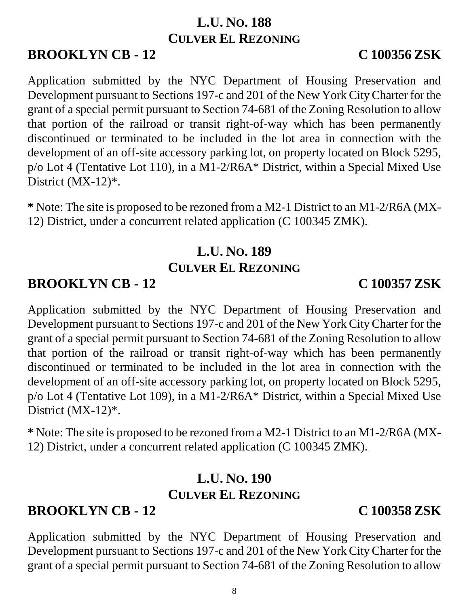### **L.U. NO. 188 CULVER EL REZONING**

## **BROOKLYN CB - 12 C 100356 ZSK**

Application submitted by the NYC Department of Housing Preservation and Development pursuant to Sections 197-c and 201 of the New York City Charter for the grant of a special permit pursuant to Section 74-681 of the Zoning Resolution to allow that portion of the railroad or transit right-of-way which has been permanently discontinued or terminated to be included in the lot area in connection with the development of an off-site accessory parking lot, on property located on Block 5295, p/o Lot 4 (Tentative Lot 110), in a M1-2/R6A\* District, within a Special Mixed Use District (MX-12)<sup>\*</sup>.

**\*** Note: The site is proposed to be rezoned from a M2-1 District to an M1-2/R6A (MX-12) District, under a concurrent related application (C 100345 ZMK).

## **L.U. NO. 189 CULVER EL REZONING**

## **BROOKLYN CB - 12 C 100357 ZSK**

Application submitted by the NYC Department of Housing Preservation and Development pursuant to Sections 197-c and 201 of the New York City Charter for the grant of a special permit pursuant to Section 74-681 of the Zoning Resolution to allow that portion of the railroad or transit right-of-way which has been permanently discontinued or terminated to be included in the lot area in connection with the development of an off-site accessory parking lot, on property located on Block 5295, p/o Lot 4 (Tentative Lot 109), in a M1-2/R6A\* District, within a Special Mixed Use District (MX-12)\*.

**\*** Note: The site is proposed to be rezoned from a M2-1 District to an M1-2/R6A (MX-12) District, under a concurrent related application (C 100345 ZMK).

### **L.U. NO. 190 CULVER EL REZONING**

## **BROOKLYN CB - 12 C 100358 ZSK**

Application submitted by the NYC Department of Housing Preservation and Development pursuant to Sections 197-c and 201 of the New York City Charter for the grant of a special permit pursuant to Section 74-681 of the Zoning Resolution to allow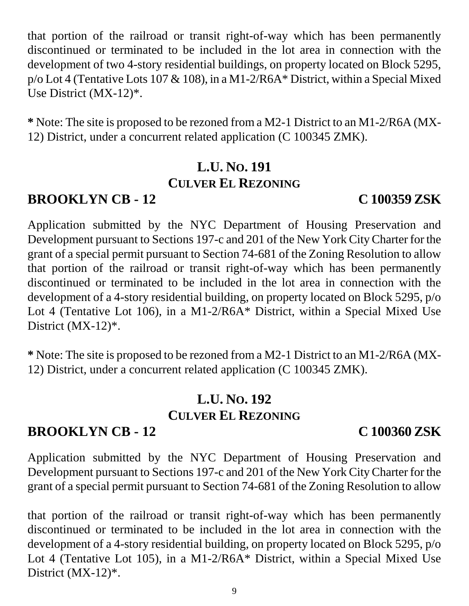that portion of the railroad or transit right-of-way which has been permanently discontinued or terminated to be included in the lot area in connection with the development of two 4-story residential buildings, on property located on Block 5295, p/o Lot 4 (Tentative Lots 107 & 108), in a M1-2/R6A\* District, within a Special Mixed Use District (MX-12)\*.

**\*** Note: The site is proposed to be rezoned from a M2-1 District to an M1-2/R6A (MX-12) District, under a concurrent related application (C 100345 ZMK).

### **L.U. NO. 191 CULVER EL REZONING**

### **BROOKLYN CB - 12 C 100359 ZSK**

Application submitted by the NYC Department of Housing Preservation and Development pursuant to Sections 197-c and 201 of the New York City Charter for the grant of a special permit pursuant to Section 74-681 of the Zoning Resolution to allow that portion of the railroad or transit right-of-way which has been permanently discontinued or terminated to be included in the lot area in connection with the development of a 4-story residential building, on property located on Block 5295, p/o Lot 4 (Tentative Lot 106), in a M1-2/R6A\* District, within a Special Mixed Use District (MX-12)\*.

**\*** Note: The site is proposed to be rezoned from a M2-1 District to an M1-2/R6A (MX-12) District, under a concurrent related application (C 100345 ZMK).

### **L.U. NO. 192 CULVER EL REZONING**

### **BROOKLYN CB - 12 C 100360 ZSK**

Application submitted by the NYC Department of Housing Preservation and Development pursuant to Sections 197-c and 201 of the New York City Charter for the grant of a special permit pursuant to Section 74-681 of the Zoning Resolution to allow

that portion of the railroad or transit right-of-way which has been permanently discontinued or terminated to be included in the lot area in connection with the development of a 4-story residential building, on property located on Block 5295, p/o Lot 4 (Tentative Lot 105), in a M1-2/R6A\* District, within a Special Mixed Use District (MX-12)<sup>\*</sup>.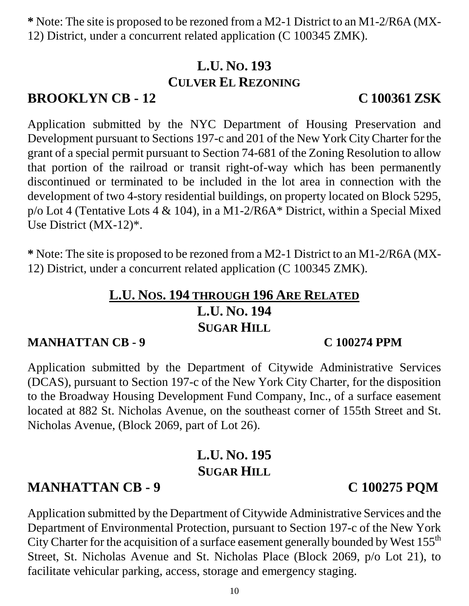**\*** Note: The site is proposed to be rezoned from a M2-1 District to an M1-2/R6A (MX-12) District, under a concurrent related application (C 100345 ZMK).

### **L.U. NO. 193 CULVER EL REZONING**

## **BROOKLYN CB - 12 C 100361 ZSK**

Application submitted by the NYC Department of Housing Preservation and Development pursuant to Sections 197-c and 201 of the New York City Charter for the grant of a special permit pursuant to Section 74-681 of the Zoning Resolution to allow that portion of the railroad or transit right-of-way which has been permanently discontinued or terminated to be included in the lot area in connection with the development of two 4-story residential buildings, on property located on Block 5295, p/o Lot 4 (Tentative Lots 4 & 104), in a M1-2/R6A\* District, within a Special Mixed Use District (MX-12)\*.

**\*** Note: The site is proposed to be rezoned from a M2-1 District to an M1-2/R6A (MX-12) District, under a concurrent related application (C 100345 ZMK).

## **L.U. NOS. 194 THROUGH 196 ARE RELATED L.U. NO. 194 SUGAR HILL**

### **MANHATTAN CB - 9 C 100274 PPM**

Application submitted by the Department of Citywide Administrative Services (DCAS), pursuant to Section 197-c of the New York City Charter, for the disposition to the Broadway Housing Development Fund Company, Inc., of a surface easement located at 882 St. Nicholas Avenue, on the southeast corner of 155th Street and St. Nicholas Avenue, (Block 2069, part of Lot 26).

## **L.U. NO. 195 SUGAR HILL**

### **MANHATTAN CB - 9 C 100275 PQM**

Application submitted by the Department of Citywide Administrative Services and the Department of Environmental Protection, pursuant to Section 197-c of the New York City Charter for the acquisition of a surface easement generally bounded by West 155<sup>th</sup> Street, St. Nicholas Avenue and St. Nicholas Place (Block 2069, p/o Lot 21), to facilitate vehicular parking, access, storage and emergency staging.

10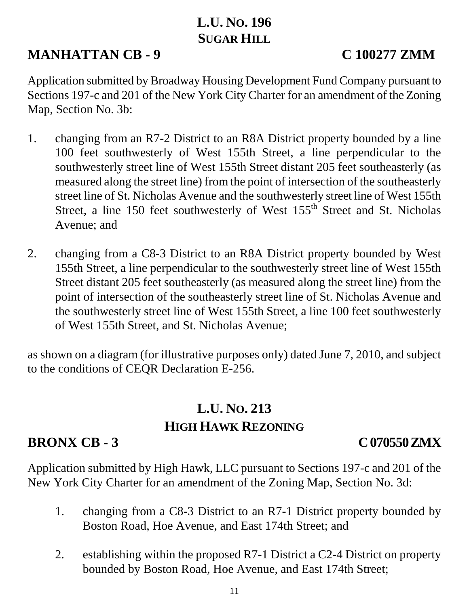## **L.U. NO. 196 SUGAR HILL**

## **MANHATTAN CB - 9 C 100277 ZMM**

Application submitted by Broadway Housing Development Fund Company pursuant to Sections 197-c and 201 of the New York City Charter for an amendment of the Zoning Map, Section No. 3b:

- 1. changing from an R7-2 District to an R8A District property bounded by a line 100 feet southwesterly of West 155th Street, a line perpendicular to the southwesterly street line of West 155th Street distant 205 feet southeasterly (as measured along the street line) from the point of intersection of the southeasterly street line of St. Nicholas Avenue and the southwesterly street line of West 155th Street, a line 150 feet southwesterly of West  $155<sup>th</sup>$  Street and St. Nicholas Avenue; and
- 2. changing from a C8-3 District to an R8A District property bounded by West 155th Street, a line perpendicular to the southwesterly street line of West 155th Street distant 205 feet southeasterly (as measured along the street line) from the point of intersection of the southeasterly street line of St. Nicholas Avenue and the southwesterly street line of West 155th Street, a line 100 feet southwesterly of West 155th Street, and St. Nicholas Avenue;

as shown on a diagram (for illustrative purposes only) dated June 7, 2010, and subject to the conditions of CEQR Declaration E-256.

# **L.U. NO. 213 HIGH HAWK REZONING**

### **BRONX CB - 3 C070550ZMX**

Application submitted by High Hawk, LLC pursuant to Sections 197-c and 201 of the New York City Charter for an amendment of the Zoning Map, Section No. 3d:

- 1. changing from a C8-3 District to an R7-1 District property bounded by Boston Road, Hoe Avenue, and East 174th Street; and
- 2. establishing within the proposed R7-1 District a C2-4 District on property bounded by Boston Road, Hoe Avenue, and East 174th Street;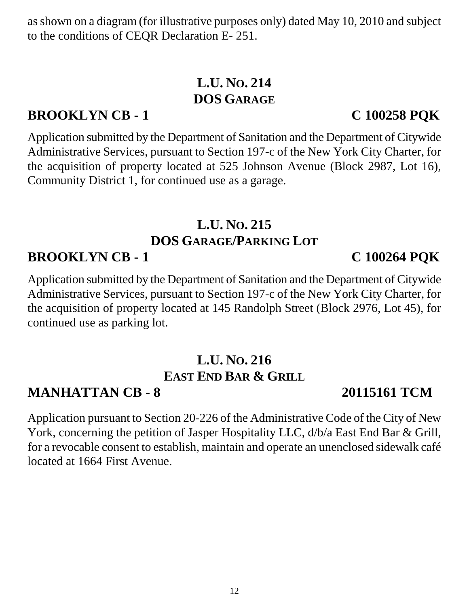12

as shown on a diagram (for illustrative purposes only) dated May 10, 2010 and subject to the conditions of CEQR Declaration E- 251.

## **L.U. NO. 214 DOS GARAGE**

## **BROOKLYN CB - 1 C 100258 PQK**

Application submitted by the Department of Sanitation and the Department of Citywide Administrative Services, pursuant to Section 197-c of the New York City Charter, for the acquisition of property located at 525 Johnson Avenue (Block 2987, Lot 16), Community District 1, for continued use as a garage.

### **L.U. NO. 215 DOS GARAGE/PARKING LOT BROOKLYN CB - 1 C 100264 PQK**

Application submitted by the Department of Sanitation and the Department of Citywide Administrative Services, pursuant to Section 197-c of the New York City Charter, for the acquisition of property located at 145 Randolph Street (Block 2976, Lot 45), for continued use as parking lot.

# **L.U. NO. 216 EAST END BAR & GRILL**

## **MANHATTAN CB - 8 20115161 TCM**

Application pursuant to Section 20-226 of the Administrative Code of the City of New York, concerning the petition of Jasper Hospitality LLC, d/b/a East End Bar & Grill, for a revocable consent to establish, maintain and operate an unenclosed sidewalk café located at 1664 First Avenue.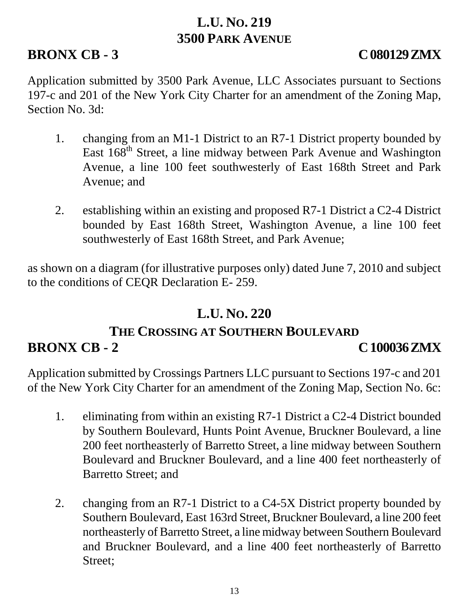## **L.U. NO. 219 3500 PARK AVENUE**

### **BRONX CB - 3 C080129ZMX**

Application submitted by 3500 Park Avenue, LLC Associates pursuant to Sections 197-c and 201 of the New York City Charter for an amendment of the Zoning Map, Section No. 3d:

- 1. changing from an M1-1 District to an R7-1 District property bounded by East 168th Street, a line midway between Park Avenue and Washington Avenue, a line 100 feet southwesterly of East 168th Street and Park Avenue; and
- 2. establishing within an existing and proposed R7-1 District a C2-4 District bounded by East 168th Street, Washington Avenue, a line 100 feet southwesterly of East 168th Street, and Park Avenue;

as shown on a diagram (for illustrative purposes only) dated June 7, 2010 and subject to the conditions of CEQR Declaration E- 259.

### **L.U. NO. 220**

## **THE CROSSING AT SOUTHERN BOULEVARD BRONX CB - 2 C100036ZMX**

Application submitted by Crossings Partners LLC pursuant to Sections 197-c and 201 of the New York City Charter for an amendment of the Zoning Map, Section No. 6c:

- 1. eliminating from within an existing R7-1 District a C2-4 District bounded by Southern Boulevard, Hunts Point Avenue, Bruckner Boulevard, a line 200 feet northeasterly of Barretto Street, a line midway between Southern Boulevard and Bruckner Boulevard, and a line 400 feet northeasterly of Barretto Street; and
- 2. changing from an R7-1 District to a C4-5X District property bounded by Southern Boulevard, East 163rd Street, Bruckner Boulevard, a line 200 feet northeasterly of Barretto Street, a line midway between Southern Boulevard and Bruckner Boulevard, and a line 400 feet northeasterly of Barretto Street;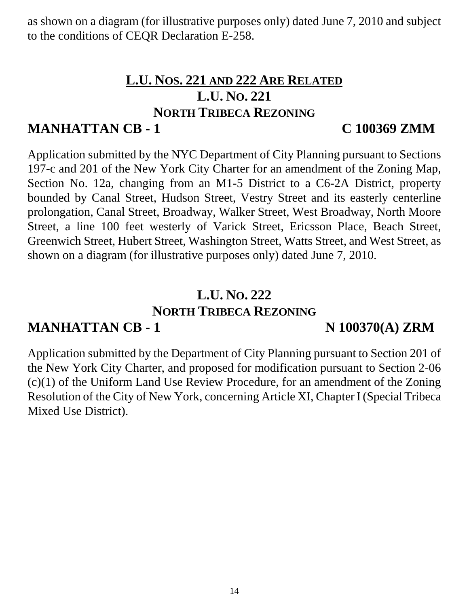as shown on a diagram (for illustrative purposes only) dated June 7, 2010 and subject to the conditions of CEQR Declaration E-258.

### **L.U. NOS. 221 AND 222 ARE RELATED L.U. NO. 221 NORTH TRIBECA REZONING MANHATTAN CB - 1 C 100369 ZMM**

Application submitted by the NYC Department of City Planning pursuant to Sections 197-c and 201 of the New York City Charter for an amendment of the Zoning Map, Section No. 12a, changing from an M1-5 District to a C6-2A District, property bounded by Canal Street, Hudson Street, Vestry Street and its easterly centerline prolongation, Canal Street, Broadway, Walker Street, West Broadway, North Moore Street, a line 100 feet westerly of Varick Street, Ericsson Place, Beach Street, Greenwich Street, Hubert Street, Washington Street, Watts Street, and West Street, as shown on a diagram (for illustrative purposes only) dated June 7, 2010.

### **L.U. NO. 222 NORTH TRIBECA REZONING MANHATTAN CB - 1 N 100370(A) ZRM**

Application submitted by the Department of City Planning pursuant to Section 201 of the New York City Charter, and proposed for modification pursuant to Section 2-06 (c)(1) of the Uniform Land Use Review Procedure, for an amendment of the Zoning Resolution of the City of New York, concerning Article XI, Chapter I (Special Tribeca Mixed Use District).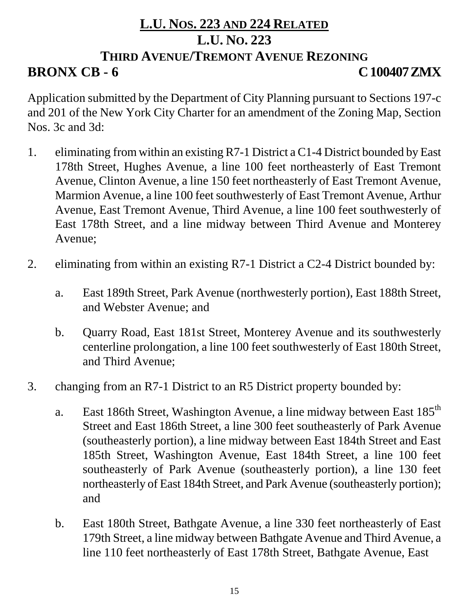## **L.U. NOS. 223 AND 224 RELATED L.U. NO. 223 THIRD AVENUE/TREMONT AVENUE REZONING BRONX CB - 6 C100407ZMX**

Application submitted by the Department of City Planning pursuant to Sections 197-c and 201 of the New York City Charter for an amendment of the Zoning Map, Section Nos. 3c and 3d:

- 1. eliminating from within an existing R7-1 District a C1-4 District bounded by East 178th Street, Hughes Avenue, a line 100 feet northeasterly of East Tremont Avenue, Clinton Avenue, a line 150 feet northeasterly of East Tremont Avenue, Marmion Avenue, a line 100 feet southwesterly of East Tremont Avenue, Arthur Avenue, East Tremont Avenue, Third Avenue, a line 100 feet southwesterly of East 178th Street, and a line midway between Third Avenue and Monterey Avenue;
- 2. eliminating from within an existing R7-1 District a C2-4 District bounded by:
	- a. East 189th Street, Park Avenue (northwesterly portion), East 188th Street, and Webster Avenue; and
	- b. Quarry Road, East 181st Street, Monterey Avenue and its southwesterly centerline prolongation, a line 100 feet southwesterly of East 180th Street, and Third Avenue;
- 3. changing from an R7-1 District to an R5 District property bounded by:
	- a. East 186th Street, Washington Avenue, a line midway between East 185<sup>th</sup> Street and East 186th Street, a line 300 feet southeasterly of Park Avenue (southeasterly portion), a line midway between East 184th Street and East 185th Street, Washington Avenue, East 184th Street, a line 100 feet southeasterly of Park Avenue (southeasterly portion), a line 130 feet northeasterly of East 184th Street, and Park Avenue (southeasterly portion); and
	- b. East 180th Street, Bathgate Avenue, a line 330 feet northeasterly of East 179th Street, a line midway between Bathgate Avenue and Third Avenue, a line 110 feet northeasterly of East 178th Street, Bathgate Avenue, East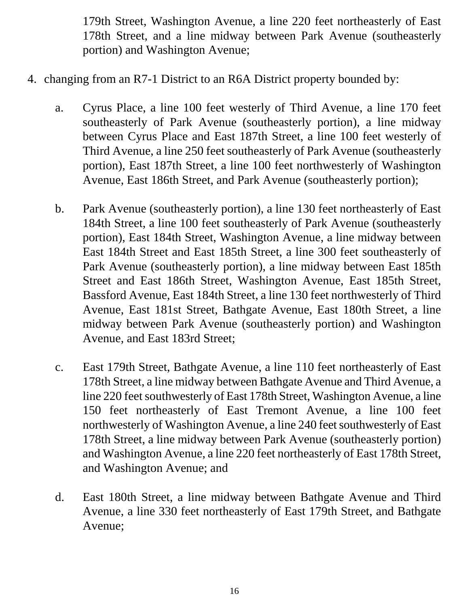179th Street, Washington Avenue, a line 220 feet northeasterly of East 178th Street, and a line midway between Park Avenue (southeasterly portion) and Washington Avenue;

- 4. changing from an R7-1 District to an R6A District property bounded by:
	- a. Cyrus Place, a line 100 feet westerly of Third Avenue, a line 170 feet southeasterly of Park Avenue (southeasterly portion), a line midway between Cyrus Place and East 187th Street, a line 100 feet westerly of Third Avenue, a line 250 feet southeasterly of Park Avenue (southeasterly portion), East 187th Street, a line 100 feet northwesterly of Washington Avenue, East 186th Street, and Park Avenue (southeasterly portion);
	- b. Park Avenue (southeasterly portion), a line 130 feet northeasterly of East 184th Street, a line 100 feet southeasterly of Park Avenue (southeasterly portion), East 184th Street, Washington Avenue, a line midway between East 184th Street and East 185th Street, a line 300 feet southeasterly of Park Avenue (southeasterly portion), a line midway between East 185th Street and East 186th Street, Washington Avenue, East 185th Street, Bassford Avenue, East 184th Street, a line 130 feet northwesterly of Third Avenue, East 181st Street, Bathgate Avenue, East 180th Street, a line midway between Park Avenue (southeasterly portion) and Washington Avenue, and East 183rd Street;
	- c. East 179th Street, Bathgate Avenue, a line 110 feet northeasterly of East 178th Street, a line midway between Bathgate Avenue and Third Avenue, a line 220 feet southwesterly of East 178th Street, Washington Avenue, a line 150 feet northeasterly of East Tremont Avenue, a line 100 feet northwesterly of Washington Avenue, a line 240 feet southwesterly of East 178th Street, a line midway between Park Avenue (southeasterly portion) and Washington Avenue, a line 220 feet northeasterly of East 178th Street, and Washington Avenue; and
	- d. East 180th Street, a line midway between Bathgate Avenue and Third Avenue, a line 330 feet northeasterly of East 179th Street, and Bathgate Avenue;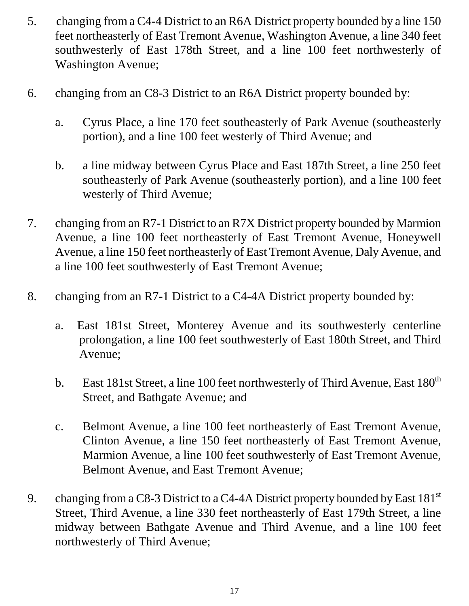- 5. changing from a C4-4 District to an R6A District property bounded by a line 150 feet northeasterly of East Tremont Avenue, Washington Avenue, a line 340 feet southwesterly of East 178th Street, and a line 100 feet northwesterly of Washington Avenue;
- 6. changing from an C8-3 District to an R6A District property bounded by:
	- a. Cyrus Place, a line 170 feet southeasterly of Park Avenue (southeasterly portion), and a line 100 feet westerly of Third Avenue; and
	- b. a line midway between Cyrus Place and East 187th Street, a line 250 feet southeasterly of Park Avenue (southeasterly portion), and a line 100 feet westerly of Third Avenue;
- 7. changing from an R7-1 District to an R7X District property bounded by Marmion Avenue, a line 100 feet northeasterly of East Tremont Avenue, Honeywell Avenue, a line 150 feet northeasterly of East Tremont Avenue, Daly Avenue, and a line 100 feet southwesterly of East Tremont Avenue;
- 8. changing from an R7-1 District to a C4-4A District property bounded by:
	- a. East 181st Street, Monterey Avenue and its southwesterly centerline prolongation, a line 100 feet southwesterly of East 180th Street, and Third Avenue;
	- b. East 181st Street, a line 100 feet northwesterly of Third Avenue, East  $180<sup>th</sup>$ Street, and Bathgate Avenue; and
	- c. Belmont Avenue, a line 100 feet northeasterly of East Tremont Avenue, Clinton Avenue, a line 150 feet northeasterly of East Tremont Avenue, Marmion Avenue, a line 100 feet southwesterly of East Tremont Avenue, Belmont Avenue, and East Tremont Avenue;
- 9. changing from a C8-3 District to a C4-4A District property bounded by East  $181<sup>st</sup>$ Street, Third Avenue, a line 330 feet northeasterly of East 179th Street, a line midway between Bathgate Avenue and Third Avenue, and a line 100 feet northwesterly of Third Avenue;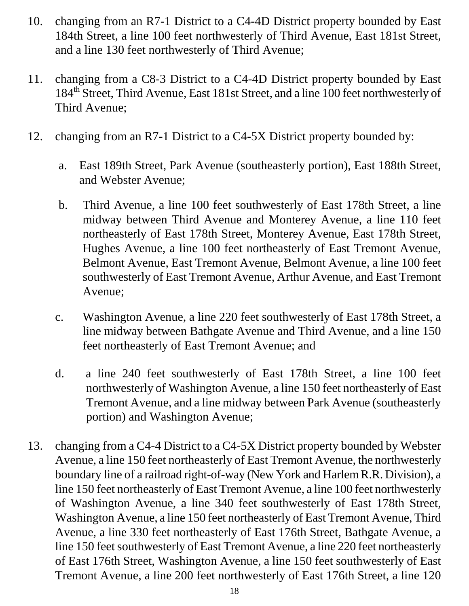- 10. changing from an R7-1 District to a C4-4D District property bounded by East 184th Street, a line 100 feet northwesterly of Third Avenue, East 181st Street, and a line 130 feet northwesterly of Third Avenue;
- 11. changing from a C8-3 District to a C4-4D District property bounded by East 184<sup>th</sup> Street, Third Avenue, East 181st Street, and a line 100 feet northwesterly of Third Avenue;
- 12. changing from an R7-1 District to a C4-5X District property bounded by:
	- a. East 189th Street, Park Avenue (southeasterly portion), East 188th Street, and Webster Avenue;
	- b. Third Avenue, a line 100 feet southwesterly of East 178th Street, a line midway between Third Avenue and Monterey Avenue, a line 110 feet northeasterly of East 178th Street, Monterey Avenue, East 178th Street, Hughes Avenue, a line 100 feet northeasterly of East Tremont Avenue, Belmont Avenue, East Tremont Avenue, Belmont Avenue, a line 100 feet southwesterly of East Tremont Avenue, Arthur Avenue, and East Tremont Avenue;
	- c. Washington Avenue, a line 220 feet southwesterly of East 178th Street, a line midway between Bathgate Avenue and Third Avenue, and a line 150 feet northeasterly of East Tremont Avenue; and
	- d. a line 240 feet southwesterly of East 178th Street, a line 100 feet northwesterly of Washington Avenue, a line 150 feet northeasterly of East Tremont Avenue, and a line midway between Park Avenue (southeasterly portion) and Washington Avenue;
- 13. changing from a C4-4 District to a C4-5X District property bounded by Webster Avenue, a line 150 feet northeasterly of East Tremont Avenue, the northwesterly boundary line of a railroad right-of-way (New York and Harlem R.R. Division), a line 150 feet northeasterly of East Tremont Avenue, a line 100 feet northwesterly of Washington Avenue, a line 340 feet southwesterly of East 178th Street, Washington Avenue, a line 150 feet northeasterly of East Tremont Avenue, Third Avenue, a line 330 feet northeasterly of East 176th Street, Bathgate Avenue, a line 150 feet southwesterly of East Tremont Avenue, a line 220 feet northeasterly of East 176th Street, Washington Avenue, a line 150 feet southwesterly of East Tremont Avenue, a line 200 feet northwesterly of East 176th Street, a line 120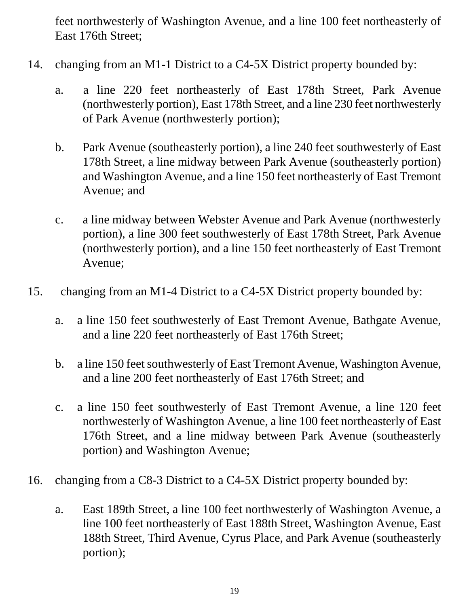feet northwesterly of Washington Avenue, and a line 100 feet northeasterly of East 176th Street;

- 14. changing from an M1-1 District to a C4-5X District property bounded by:
	- a. a line 220 feet northeasterly of East 178th Street, Park Avenue (northwesterly portion), East 178th Street, and a line 230 feet northwesterly of Park Avenue (northwesterly portion);
	- b. Park Avenue (southeasterly portion), a line 240 feet southwesterly of East 178th Street, a line midway between Park Avenue (southeasterly portion) and Washington Avenue, and a line 150 feet northeasterly of East Tremont Avenue; and
	- c. a line midway between Webster Avenue and Park Avenue (northwesterly portion), a line 300 feet southwesterly of East 178th Street, Park Avenue (northwesterly portion), and a line 150 feet northeasterly of East Tremont Avenue;
- 15. changing from an M1-4 District to a C4-5X District property bounded by:
	- a. a line 150 feet southwesterly of East Tremont Avenue, Bathgate Avenue, and a line 220 feet northeasterly of East 176th Street;
	- b. a line 150 feet southwesterly of East Tremont Avenue, Washington Avenue, and a line 200 feet northeasterly of East 176th Street; and
	- c. a line 150 feet southwesterly of East Tremont Avenue, a line 120 feet northwesterly of Washington Avenue, a line 100 feet northeasterly of East 176th Street, and a line midway between Park Avenue (southeasterly portion) and Washington Avenue;
- 16. changing from a C8-3 District to a C4-5X District property bounded by:
	- a. East 189th Street, a line 100 feet northwesterly of Washington Avenue, a line 100 feet northeasterly of East 188th Street, Washington Avenue, East 188th Street, Third Avenue, Cyrus Place, and Park Avenue (southeasterly portion);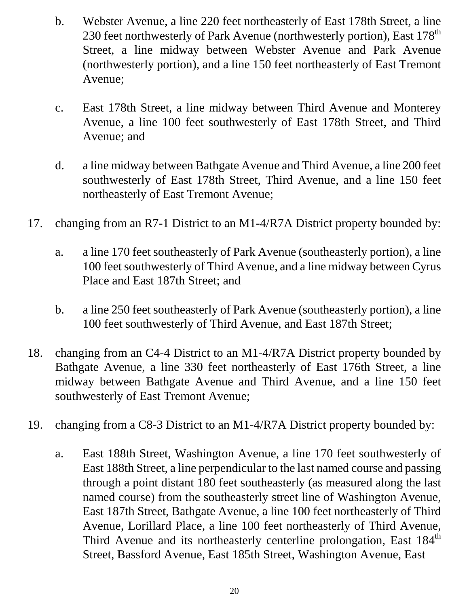- b. Webster Avenue, a line 220 feet northeasterly of East 178th Street, a line 230 feet northwesterly of Park Avenue (northwesterly portion), East 178<sup>th</sup> Street, a line midway between Webster Avenue and Park Avenue (northwesterly portion), and a line 150 feet northeasterly of East Tremont Avenue;
- c. East 178th Street, a line midway between Third Avenue and Monterey Avenue, a line 100 feet southwesterly of East 178th Street, and Third Avenue; and
- d. a line midway between Bathgate Avenue and Third Avenue, a line 200 feet southwesterly of East 178th Street, Third Avenue, and a line 150 feet northeasterly of East Tremont Avenue;
- 17. changing from an R7-1 District to an M1-4/R7A District property bounded by:
	- a. a line 170 feet southeasterly of Park Avenue (southeasterly portion), a line 100 feet southwesterly of Third Avenue, and a line midway between Cyrus Place and East 187th Street; and
	- b. a line 250 feet southeasterly of Park Avenue (southeasterly portion), a line 100 feet southwesterly of Third Avenue, and East 187th Street;
- 18. changing from an C4-4 District to an M1-4/R7A District property bounded by Bathgate Avenue, a line 330 feet northeasterly of East 176th Street, a line midway between Bathgate Avenue and Third Avenue, and a line 150 feet southwesterly of East Tremont Avenue;
- 19. changing from a C8-3 District to an M1-4/R7A District property bounded by:
	- a. East 188th Street, Washington Avenue, a line 170 feet southwesterly of East 188th Street, a line perpendicular to the last named course and passing through a point distant 180 feet southeasterly (as measured along the last named course) from the southeasterly street line of Washington Avenue, East 187th Street, Bathgate Avenue, a line 100 feet northeasterly of Third Avenue, Lorillard Place, a line 100 feet northeasterly of Third Avenue, Third Avenue and its northeasterly centerline prolongation, East 184<sup>th</sup> Street, Bassford Avenue, East 185th Street, Washington Avenue, East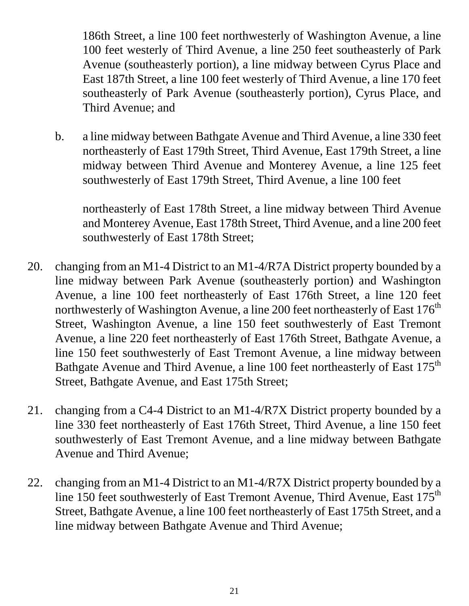186th Street, a line 100 feet northwesterly of Washington Avenue, a line 100 feet westerly of Third Avenue, a line 250 feet southeasterly of Park Avenue (southeasterly portion), a line midway between Cyrus Place and East 187th Street, a line 100 feet westerly of Third Avenue, a line 170 feet southeasterly of Park Avenue (southeasterly portion), Cyrus Place, and Third Avenue; and

b. a line midway between Bathgate Avenue and Third Avenue, a line 330 feet northeasterly of East 179th Street, Third Avenue, East 179th Street, a line midway between Third Avenue and Monterey Avenue, a line 125 feet southwesterly of East 179th Street, Third Avenue, a line 100 feet

northeasterly of East 178th Street, a line midway between Third Avenue and Monterey Avenue, East 178th Street, Third Avenue, and a line 200 feet southwesterly of East 178th Street;

- 20. changing from an M1-4 District to an M1-4/R7A District property bounded by a line midway between Park Avenue (southeasterly portion) and Washington Avenue, a line 100 feet northeasterly of East 176th Street, a line 120 feet northwesterly of Washington Avenue, a line 200 feet northeasterly of East 176<sup>th</sup> Street, Washington Avenue, a line 150 feet southwesterly of East Tremont Avenue, a line 220 feet northeasterly of East 176th Street, Bathgate Avenue, a line 150 feet southwesterly of East Tremont Avenue, a line midway between Bathgate Avenue and Third Avenue, a line 100 feet northeasterly of East 175<sup>th</sup> Street, Bathgate Avenue, and East 175th Street;
- 21. changing from a C4-4 District to an M1-4/R7X District property bounded by a line 330 feet northeasterly of East 176th Street, Third Avenue, a line 150 feet southwesterly of East Tremont Avenue, and a line midway between Bathgate Avenue and Third Avenue;
- 22. changing from an M1-4 District to an M1-4/R7X District property bounded by a line 150 feet southwesterly of East Tremont Avenue, Third Avenue, East 175<sup>th</sup> Street, Bathgate Avenue, a line 100 feet northeasterly of East 175th Street, and a line midway between Bathgate Avenue and Third Avenue;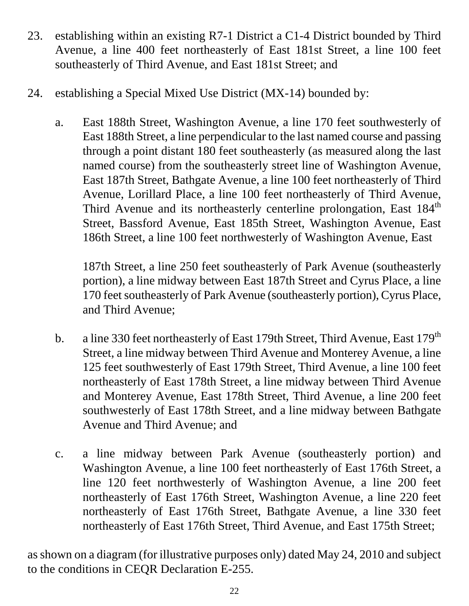- 23. establishing within an existing R7-1 District a C1-4 District bounded by Third Avenue, a line 400 feet northeasterly of East 181st Street, a line 100 feet southeasterly of Third Avenue, and East 181st Street; and
- 24. establishing a Special Mixed Use District (MX-14) bounded by:
	- a. East 188th Street, Washington Avenue, a line 170 feet southwesterly of East 188th Street, a line perpendicular to the last named course and passing through a point distant 180 feet southeasterly (as measured along the last named course) from the southeasterly street line of Washington Avenue, East 187th Street, Bathgate Avenue, a line 100 feet northeasterly of Third Avenue, Lorillard Place, a line 100 feet northeasterly of Third Avenue, Third Avenue and its northeasterly centerline prolongation, East 184<sup>th</sup> Street, Bassford Avenue, East 185th Street, Washington Avenue, East 186th Street, a line 100 feet northwesterly of Washington Avenue, East

187th Street, a line 250 feet southeasterly of Park Avenue (southeasterly portion), a line midway between East 187th Street and Cyrus Place, a line 170 feet southeasterly of Park Avenue (southeasterly portion), Cyrus Place, and Third Avenue;

- b. a line 330 feet northeasterly of East 179th Street, Third Avenue, East 179<sup>th</sup> Street, a line midway between Third Avenue and Monterey Avenue, a line 125 feet southwesterly of East 179th Street, Third Avenue, a line 100 feet northeasterly of East 178th Street, a line midway between Third Avenue and Monterey Avenue, East 178th Street, Third Avenue, a line 200 feet southwesterly of East 178th Street, and a line midway between Bathgate Avenue and Third Avenue; and
- c. a line midway between Park Avenue (southeasterly portion) and Washington Avenue, a line 100 feet northeasterly of East 176th Street, a line 120 feet northwesterly of Washington Avenue, a line 200 feet northeasterly of East 176th Street, Washington Avenue, a line 220 feet northeasterly of East 176th Street, Bathgate Avenue, a line 330 feet northeasterly of East 176th Street, Third Avenue, and East 175th Street;

as shown on a diagram (for illustrative purposes only) dated May 24, 2010 and subject to the conditions in CEQR Declaration E-255.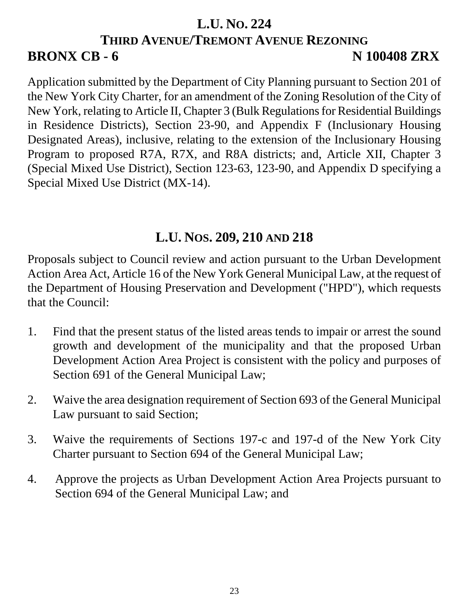## **L.U. NO. 224 THIRD AVENUE/TREMONT AVENUE REZONING BRONX CB - 6 N 100408 ZRX**

Application submitted by the Department of City Planning pursuant to Section 201 of the New York City Charter, for an amendment of the Zoning Resolution of the City of New York, relating to Article II, Chapter 3 (Bulk Regulations for Residential Buildings in Residence Districts), Section 23-90, and Appendix F (Inclusionary Housing Designated Areas), inclusive, relating to the extension of the Inclusionary Housing Program to proposed R7A, R7X, and R8A districts; and, Article XII, Chapter 3 (Special Mixed Use District), Section 123-63, 123-90, and Appendix D specifying a Special Mixed Use District (MX-14).

## **L.U. NOS. 209, 210 AND 218**

Proposals subject to Council review and action pursuant to the Urban Development Action Area Act, Article 16 of the New York General Municipal Law, at the request of the Department of Housing Preservation and Development ("HPD"), which requests that the Council:

- 1. Find that the present status of the listed areas tends to impair or arrest the sound growth and development of the municipality and that the proposed Urban Development Action Area Project is consistent with the policy and purposes of Section 691 of the General Municipal Law;
- 2. Waive the area designation requirement of Section 693 of the General Municipal Law pursuant to said Section;
- 3. Waive the requirements of Sections 197-c and 197-d of the New York City Charter pursuant to Section 694 of the General Municipal Law;
- 4. Approve the projects as Urban Development Action Area Projects pursuant to Section 694 of the General Municipal Law; and